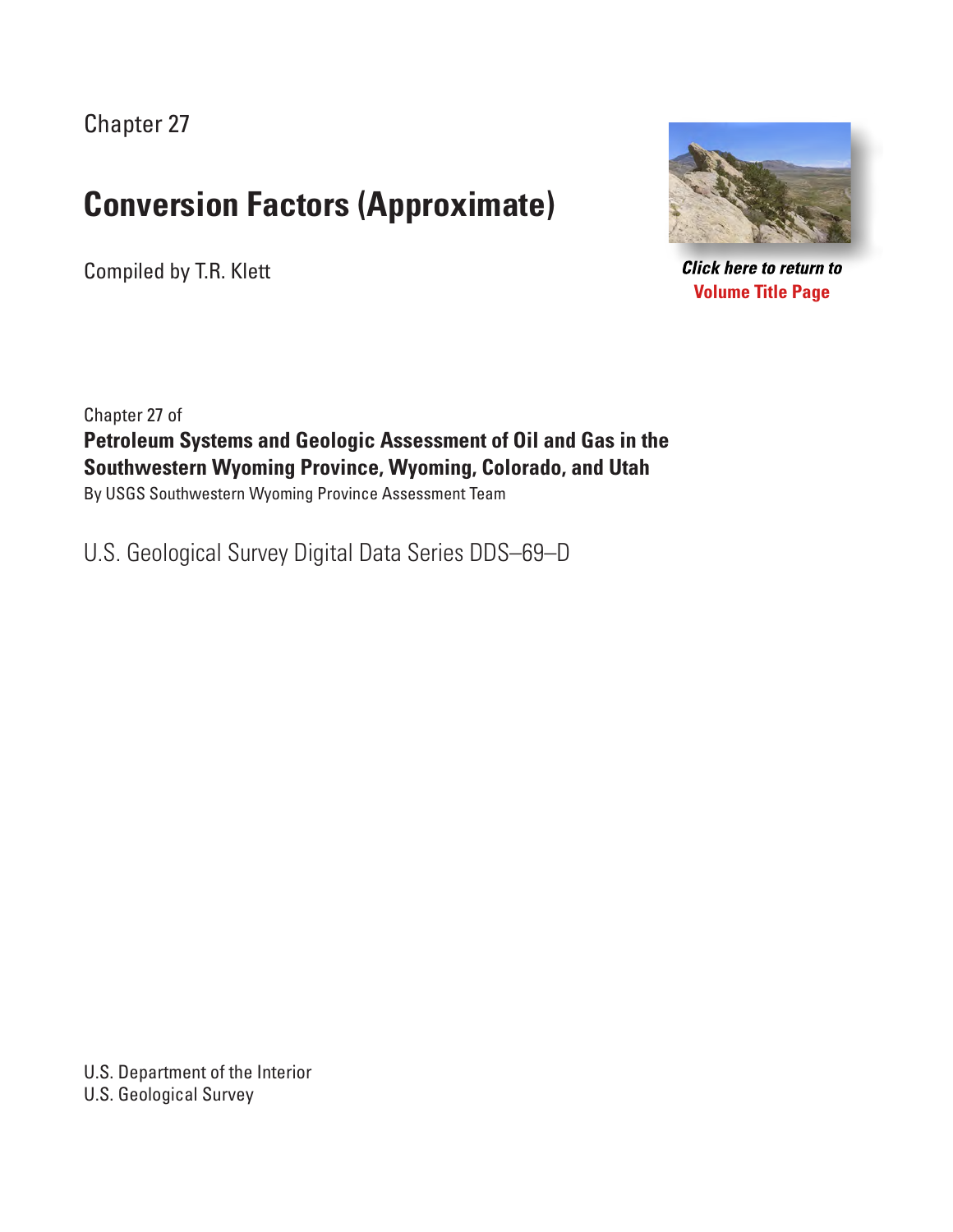Chapter 27

## **Conversion Factors (Approximate)**

Compiled by T.R. Klett



**Click here to return to Volume Title Page**

Chapter 27 of **Petroleum Systems and Geologic Assessment of Oil and Gas in the Southwestern Wyoming Province, Wyoming, Colorado, and Utah** By USGS Southwestern Wyoming Province Assessment Team

U.S. Geological Survey Digital Data Series DDS–69–D

U.S. Department of the Interior U.S. Geological Survey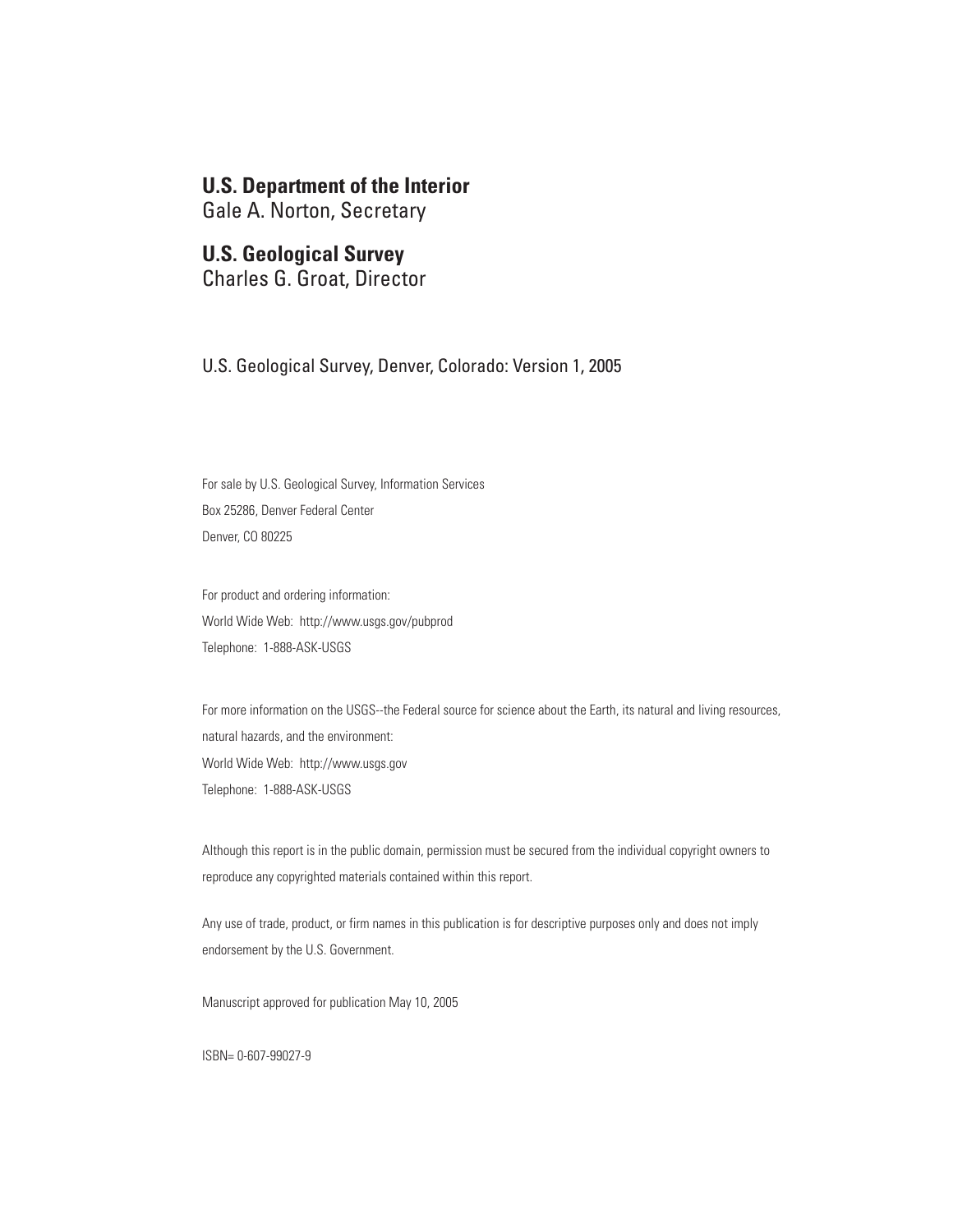### **U.S. Department of the Interior**

Gale A. Norton, Secretary

#### **U.S. Geological Survey**

Charles G. Groat, Director

U.S. Geological Survey, Denver, Colorado: Version 1, 2005

For sale by U.S. Geological Survey, Information Services Box 25286, Denver Federal Center Denver, CO 80225

For product and ordering information: World Wide Web: http://www.usgs.gov/pubprod Telephone: 1-888-ASK-USGS

For more information on the USGS--the Federal source for science about the Earth, its natural and living resources, natural hazards, and the environment: World Wide Web: http://www.usgs.gov Telephone: 1-888-ASK-USGS

Although this report is in the public domain, permission must be secured from the individual copyright owners to reproduce any copyrighted materials contained within this report.

Any use of trade, product, or firm names in this publication is for descriptive purposes only and does not imply endorsement by the U.S. Government.

Manuscript approved for publication May 10, 2005

ISBN= 0-607-99027-9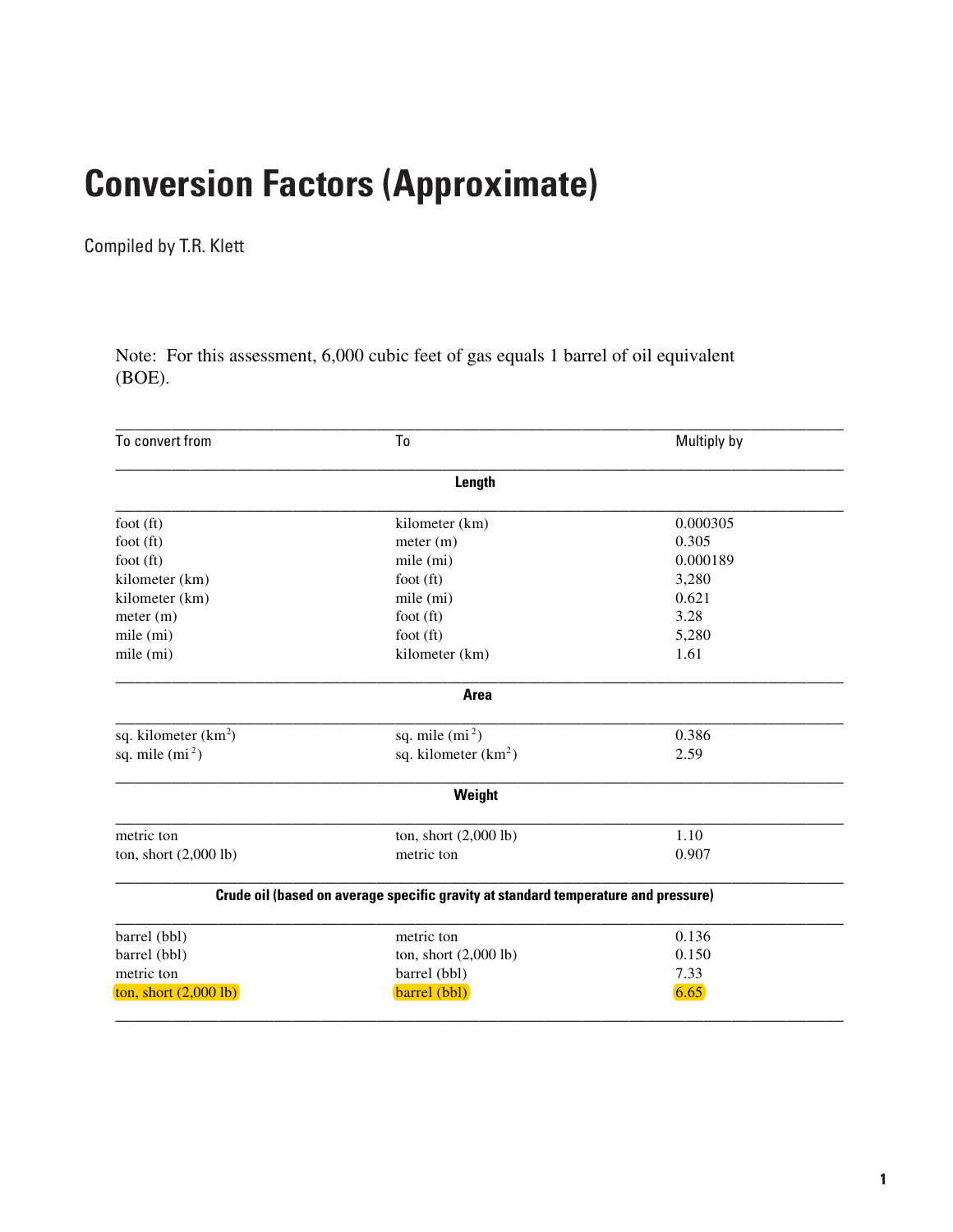# **Conversion Factors (Approximate)**

Compiled by T.R. Klett

Note: For this assessment, 6,000 cubic feet of gas equals 1 barrel of oil equivalent (BOE).

| To convert from                 | To                                                                                 | Multiply by |  |
|---------------------------------|------------------------------------------------------------------------------------|-------------|--|
|                                 | Length                                                                             |             |  |
| foot $(ft)$                     | kilometer (km)                                                                     | 0.000305    |  |
| foot $(ft)$                     | meter (m)                                                                          | 0.305       |  |
| foot $(ft)$                     | mile (mi)                                                                          | 0.000189    |  |
| kilometer (km)                  | foot $(ft)$                                                                        | 3,280       |  |
| kilometer (km)                  | mile (mi)                                                                          | 0.621       |  |
| meter (m)                       | foot $(ft)$                                                                        | 3.28        |  |
| mile (mi)                       | foot $(ft)$                                                                        | 5,280       |  |
| mile (mi)                       | kilometer (km)                                                                     | 1.61        |  |
|                                 | <b>Area</b>                                                                        |             |  |
| sq. kilometer $(km^2)$          | sq. mile $(mi^2)$                                                                  | 0.386       |  |
| sq. mile $(mi^2)$               | sq. kilometer $(km^2)$                                                             | 2.59        |  |
|                                 | Weight                                                                             |             |  |
| metric ton                      | ton, short $(2,000$ lb)                                                            | 1.10        |  |
| ton, short $(2,000$ lb)         | metric ton                                                                         | 0.907       |  |
|                                 | Crude oil (based on average specific gravity at standard temperature and pressure) |             |  |
| barrel (bbl)                    | metric ton                                                                         | 0.136       |  |
| barrel (bbl)                    | ton, short $(2,000$ lb)                                                            | 0.150       |  |
| metric ton                      | barrel (bbl)                                                                       | 7.33        |  |
| ton, short $(2,000 \text{ lb})$ | barrel (bbl)                                                                       | 6.65        |  |